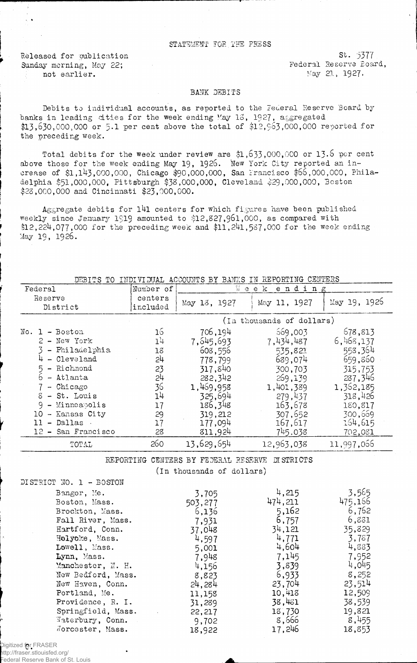## STATEMENT FOE.THE PHSSS

Released for publication Sunday morning, May 22; not earlier.

 $St. 5377$ Federal Reserve Board, Kay 21, 1927.

## BANK DEBITS

Debits to individual accounts, as reported to the Federal Reserve Board by banks in leading cities for the week ending May 13, 1927, aggregated  $$13,630,000,000$  or 5.1 per cent above the total of  $$12,963,000,000$  reported for the preceding week.

Total debits for the week under review are  $$1,633,000,000$  or 13.6 per cent above those for the week ending May 19, 1925. New York City reported an increase of \$1,143,000,000, Chicago \$90,000,000, San Francisco \$66,000,000, Philadelphia \$51,000,000, Pittsburgh \$33,000,000, Cleveland \$29,000,000, Boston \$23,000,000 and Cincinnati \$23,000,000.

Aggregate debits for 141 centers for which figures have been published weekly since January 1919 amounted to \$12,827,961,000, as compared with  $$12,224,077,000$  for the preceding week and  $$11,241,587,000$  for the week ending May 19, 1926.

|  | DEBITS TO INDIVIDUAL ACCOUNTS BY BANKS IN REPORTING CENTERS |  |  |  |
|--|-------------------------------------------------------------|--|--|--|
|  |                                                             |  |  |  |

| Federal                                                                                                                                                                                                                      | Number of                                                      |                                                                                                                                      | Week ending                                                                                                               |                                                                                                                           |
|------------------------------------------------------------------------------------------------------------------------------------------------------------------------------------------------------------------------------|----------------------------------------------------------------|--------------------------------------------------------------------------------------------------------------------------------------|---------------------------------------------------------------------------------------------------------------------------|---------------------------------------------------------------------------------------------------------------------------|
| Reserve<br>District                                                                                                                                                                                                          | centers<br>included                                            | May 13, 1927                                                                                                                         | May 11, 1927                                                                                                              | May 19, 1926                                                                                                              |
|                                                                                                                                                                                                                              |                                                                |                                                                                                                                      | (In thousands of dollars)                                                                                                 |                                                                                                                           |
| No.<br>$1 - Boston$<br>2 - New York<br>- Philadelphia<br>- Cleveland<br>5 - Richmond<br>$6 -$ Atlanta<br>$-$ Chicago<br>$8 - St.$ Louis<br>- Minneapolis<br>9<br>- Kansas City<br>10<br>- Dallas<br>11<br>12 - San Francisco | 16<br>14<br>18<br>54<br>23<br>24<br>36<br>14<br>17<br>29<br>17 | 706,194<br>7,645,693<br>608,556<br>778,799<br>317,840<br>282,342<br>1,469,958<br>325,694<br>186,348<br>319,212<br>177,094<br>811,924 | 669,003<br>7,434,487<br>535,821<br>689,074<br>300,703<br>269,139<br>1,401,389<br>279,437<br>163,678<br>307,652<br>167,617 | 578,813<br>6,468,137<br>558,364<br>659,860<br>315,753<br>237,346<br>1,362,185<br>318,426<br>180,817<br>300,669<br>164,615 |
|                                                                                                                                                                                                                              | 28<br>260                                                      |                                                                                                                                      | 745,038                                                                                                                   | 702,081                                                                                                                   |
| TOTAL                                                                                                                                                                                                                        |                                                                | 13,629,654                                                                                                                           | 12,963,038                                                                                                                | 11,997,066                                                                                                                |

REPORTING CENTERS BY FEDERAL RESERVE DISTRICTS

(in thousands of dollars)

| $D + D + H + D + W + H - D + D$ |         |         |         |
|---------------------------------|---------|---------|---------|
| Bangor, Me.                     | 3,705   | 4,215   | 3,565   |
| Boston, Mass.                   | 503,277 | 474,211 | 475.166 |
| Brockton, Mass.                 | 6,136   | 5,162   | 6,762   |
| Fall River, Mass.               | 7,931   | 6,757   | 6,831   |
| Hartford, Conn.                 | 37,048  | 34,121  | 35,829  |
| Holyoke, Mass.                  | 4,597   | 4,771   | 3,787   |
| Lowell, Mass.                   | 5,001   | 4,604   | 4,883   |
| Lynn, Mass.                     | 7,948   | 7,145   | 7,952   |
| Manchester, N. H.               | 4,156   | 3,839   | 4,045   |
| New Bedford, Mass.              | 8,823   | 6,933   | 8,252   |
| New Haven, Conn.                | 24,284  | 23,704  | 23,514  |
| Portland, Me.                   | 11,158  | 10,413  | 12,509  |
| Providence, R. I.               | 31,289  | 38,481  | 38,539  |
| Springfield, Mass.              | 22,217  | 18,730  | 19,821  |
| Materbury, Conn.                | 9,702   | 8,666   | 8,455   |
| Norcester, Mass.                | 18,922  | 17,246  | 18,853  |

Digitized for FRASER http://fraser.stlouisfed.org/ Federal Reserve Bank of St. Louis

DISTRICT NO. 1 - BOSTON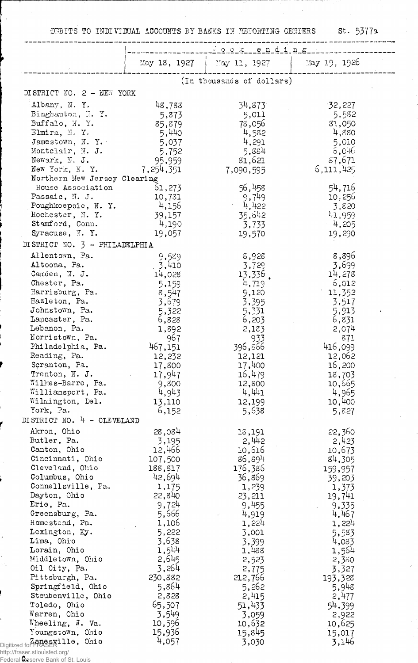•DEBITS TO IHDIVTOTAL ACCOUNTS BY BAMS IN H3P0BTINS CEHTERS St. 5377a

|                                     |                 | May 18, 1927   May 11, 1927 | May 19, 1926    |
|-------------------------------------|-----------------|-----------------------------|-----------------|
|                                     |                 | (In thousands of dollars)   |                 |
| DISTRICT NO. 2 - NEW YORK           |                 |                             |                 |
| Albany, N.Y.                        | 48,783          | 34,873                      | 32,227          |
| Binghamton, H. Y.                   | 5,873           | 5,011                       | 5,582           |
| Buffalo, N.Y.<br>Elmira, N.Y.       | 85,879          | 78,056                      | 81,050          |
| Jamestown, $N. Y.$                  | 5,440           | 4,582<br>4,291              | 4,880<br>5,010  |
| Montclair, N. J.                    | 5,037<br>5,752  | 5,884                       | 6,046           |
| Newark, N. J.                       | 95,959          | 81,621                      | 87,671          |
| New York, N.Y.                      | 7, 254, 351     | 7,090,595                   | 6,111,425       |
| Northern New Jersey Clearing        |                 |                             |                 |
| House Association                   | 61,273          | 56,458                      | 54,716          |
| Passaic, N. J.                      | 10,731          | 9,749                       | 10,256          |
| Poughkeepsie, N.Y.                  | 4,156           | 4,422                       | 3,820           |
| Rochester, M. Y.                    | 39,157          | 35,642                      | 41,959          |
| Stamford, Conn.                     | 4,190           | 3,733                       | $-4,205$        |
| Syracuse, N.Y.                      | 19,057          | 19,570                      | 19,290          |
| DISTRICT NO. 3 - PHILADELPHIA       |                 |                             |                 |
| Allentown, Pa.                      | 9,589           | 8,928                       | 8,896           |
| Altoona, Pa.                        | .3,410          | 3,729                       | 3,699           |
| Camden, $\mathbb{N}$ . J.           | 14,028          | 13,336                      | 14,278          |
| Chester, Pa.                        | 5,159           | 4,719                       | 6,012           |
| Harrisburg, Pa.                     | 8,547           | 9,120                       | 11,352          |
| Hazleton, Pa.                       | 3,679           | 3,395                       | 3,517           |
| Johnstown, Pa.                      | 5,322           | 5,331                       | 5,913           |
| Lancaster, Pa.                      | 6,828           | 6,203                       | 6,831           |
| Lebanon, Pa.                        | 1,892           | 2,183                       | 2,074           |
| Norristown, Pa.                     | 967             | 933                         | 871             |
| Philadelphia, Pa.                   | 467,151         | 396,866                     | 416,099         |
| Reading, Pa.                        | 12,232          | 12,121                      | 12,062          |
| Scranton, Pa.                       | 17,800          | 17,400                      | 16,200          |
| Trenton, N. J.<br>Wilkes-Barre, Pa. | 17,947          | 16,479                      | 18,703          |
| Williamsport, Pa.                   | 9,800           | 12,800<br>4,441             | 10,665<br>4,965 |
| Wilmington, Del.                    | 4,943<br>13,110 | 12,199                      | 10,400          |
| York, Pa.                           | 6,152           | 5,638                       | 5,827           |
| DISTRICT NO. 4 - CLEVELAND          |                 |                             |                 |
| Akron, Ohio                         | 28,084          | 18,191                      | 22,360          |
| Butler, Pa.                         | 3,195           | 2,442                       | 2,423           |
| Canton, Ohio                        | 12,466          | 10,616                      | 10,673          |
| Cincinnati, Ohio                    | 107,500         | 86,894                      | 84,305          |
| Cleveland, Ohio                     | 188,817         | 176,386                     | 159,957         |
| Columbus, Ohio                      | 42,694          | 36,869                      | 39,203          |
| Connellsville, Pa.                  | 1,175           | 1,239                       | 1,373           |
| Dayton, Ohio                        | 22,840          | 23,211                      | 19,741          |
| Erie, Pa.                           | 9,724           | 9,455                       | 9,335           |
| Greensburg, Pa.                     | 5,666           | 4,919                       | 4,467           |
| Homestead, Pa.                      | 1,106           | 1,224                       | 1,224           |
| Lexington, Ky.                      | 5,222           | 3,001                       | 5,583           |
| Lima, Ohio                          | 3,638           | 3,399                       | 4,033           |
| Lorain, Ohio                        | 1,544<br>2,645  | 1,488                       | 1,564           |
| Middletown, Ohio                    | 3,264           | 2,523                       | 2,380           |
| Oil City, Pa.<br>Pittsburgh, Pa.    | 230,882         | 2,775                       | 3,327           |
| Springfield, Ohio                   | 5,864           | 212,766                     | 193,328         |
| Steubenville, Ohio                  | 2,828           | 5,262<br>2,415              | 5,948           |
| Toledo, Ohio                        | 65,507          | 51,433                      | 2,477           |
| Warren, Ohio                        | 3,549           |                             | 54,399          |
| Wheeling, J. Va.                    | 10,596          | 3,059<br>10,632             | 2,922<br>10,625 |
| Youngstown, Ohio                    | 15,936          | 15,845                      | 15,017          |
| Digitized for FRASERIlle, Ohio      | 4,057           | 3,030                       | 3,146           |
| http://fraser.stlouisfed.org/       |                 |                             |                 |

Řе Federal Reserve Bank of St. Louis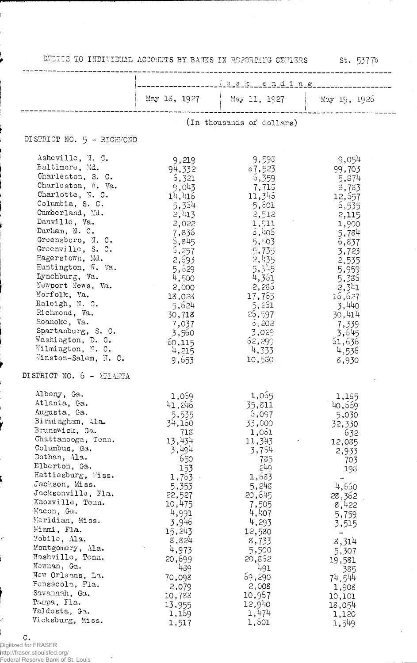|  | DEDICS TO INDIVIDUAL ACCOUNTS BY BANKS IN REPORTING CENTERS |  |  |  |  |  |  |
|--|-------------------------------------------------------------|--|--|--|--|--|--|
|--|-------------------------------------------------------------|--|--|--|--|--|--|

st. 5377b

|                                                                                                                                                                                                                                                                                                                                                                                                                                                                                            | $\frac{1}{2}$ e e h d i n g                                                                                                                                                                                                              |                                                                                                                                                                                                                                           |                                                                                                                                                                                                                      |  |  |  |
|--------------------------------------------------------------------------------------------------------------------------------------------------------------------------------------------------------------------------------------------------------------------------------------------------------------------------------------------------------------------------------------------------------------------------------------------------------------------------------------------|------------------------------------------------------------------------------------------------------------------------------------------------------------------------------------------------------------------------------------------|-------------------------------------------------------------------------------------------------------------------------------------------------------------------------------------------------------------------------------------------|----------------------------------------------------------------------------------------------------------------------------------------------------------------------------------------------------------------------|--|--|--|
|                                                                                                                                                                                                                                                                                                                                                                                                                                                                                            | May 13, 1927                                                                                                                                                                                                                             | $\frac{1}{2}$ May 11, 1927                                                                                                                                                                                                                | May 19, 1926                                                                                                                                                                                                         |  |  |  |
|                                                                                                                                                                                                                                                                                                                                                                                                                                                                                            |                                                                                                                                                                                                                                          | (In thousands of dollars)                                                                                                                                                                                                                 |                                                                                                                                                                                                                      |  |  |  |
| DISTRICT NO. 5 - RICHMOND                                                                                                                                                                                                                                                                                                                                                                                                                                                                  |                                                                                                                                                                                                                                          |                                                                                                                                                                                                                                           |                                                                                                                                                                                                                      |  |  |  |
| Asheville, N. C.<br>Baltimore, Md.<br>Charleston, S. C.<br>Charleston, W. Va.<br>Charlotte, N. C.<br>Columbia, S. C.<br>Cumberland, Md.<br>Danville, Va.<br>Durham, N. C.<br>Greensboro, N. C.<br>Greenville, S. C.<br>Hagerstown, Md.<br>Huntington, W. Va.<br>Lynchburg, Va.<br>Newport News, Va.<br>Norfolk, Va.<br>Raleigh, N. C.<br>Richmond, Va.<br>Roanoke, Va.<br>Spartanburg, S. C.<br>Washington, D. C.<br>Wilmington, N. C.<br>Winston-Salem, N. C.<br>DISTRICT NO. 6 - ATLANTA | 9,219<br>94,332<br>6,321<br>9,043<br>14,416<br>5,354<br>2,413<br>2,022<br>7,836<br>6,845<br>5,257<br>2,693<br>5,529<br>4,500<br>2,000<br>18,028<br>5,624<br>30,718<br>7,037<br>3,560<br>60,115<br>4,215<br>9,653                         | 9,598<br>87,523<br>5,359<br>7,715<br>11,345<br>5,601<br>2,512<br>1,911<br>5,405<br>5,503<br>5,735<br>2,435<br>5,345<br>4,361<br>2,286<br>17,763<br>5,261<br>-25,597<br>5,202<br>3,029<br>62, 299<br>4,333<br>10,550                       | 9,054<br>99,703<br>5,874<br>3,783<br>12,657<br>6,535<br>2,115<br>1,900<br>5,784<br>6,837<br>3,723<br>2,535<br>5,959<br>5,335<br>2,341<br>15,627<br>3,440<br>30,414<br>7,339<br>3,645<br>51,636<br>4,536<br>8,930     |  |  |  |
| Albany, Ga.<br>Atlanta, Ga.<br>Augusta, Ga.<br>Birmingham, Ala.<br>Brunswick, Ga.<br>Chattanooga, Tenn.<br>Columbus, Ga.<br>Dothan, Ala.<br>Elberton, Ga.<br>Hattiesburg, Miss.<br>Jackson, Miss.<br>Jacksonville, Fla.<br>Knoxville, Tenn.<br>Macon, Ga.<br>Meridian, Miss.<br>Miami, Fla.<br>Mobile, Ala.<br>Montgomery, Ala.<br>Nashville, Tonn.<br>Newnan, Ga.<br>New Orleans, La.<br>Pensacola, Fla.<br>Savannah, Ga.<br>Tampa, Fla.<br>Valdosta, Ga.<br>Vicksburg, Miss.             | 1,069<br>41,246<br>5,535<br>34,160<br>718<br>13,434<br>3,494<br>650<br>153<br>1,763<br>5,353<br>22,527<br>10,475<br>4,991<br>3,946<br>15,243<br>8,824<br>4,973<br>20,699<br>439<br>70,098<br>2,079<br>10,788<br>13,955<br>1,169<br>1,517 | 1,065<br>35,811<br>5,097<br>33,000<br>1,051<br>11,343<br>3,754<br>735<br>570<br>1,683<br>5,248<br>20,645<br>7,505<br>4,407<br>4,293<br>12,580<br>8,733<br>5,500<br>20,852<br>491<br>69,290<br>2,008<br>10,967<br>12,940<br>1,474<br>1,501 | 1,185<br>40,559<br>5,030<br>32,330<br>632<br>12,035<br>2,933<br>703<br>193<br>4,650<br>28,362<br>8,422<br>5,759<br>3,515<br>8,314<br>5,307<br>19,581<br>385<br>74,544<br>1,908<br>10,101<br>18,054<br>1,120<br>1,549 |  |  |  |

Digitized for FRASER http://fraser.stlouisfed.org/ Federal Reserve Bank of St. Louis

 $\sim 10$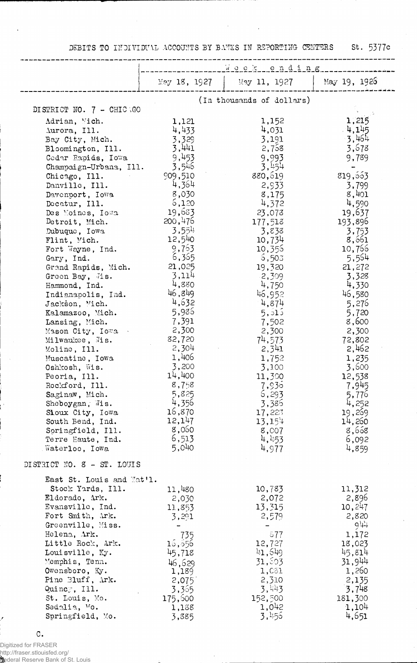DEBITS TO INDIVIDUAL ACCOUNTS BY BANKS IN REPORTING CENTERS St. 5377c

 $\bar{\mathbf{r}}$ 

 $\mathbf{r}$ 

| May 19, 1926<br>May 11, 1927<br>May 18, 1927<br>(In thousands of dollars)<br>DISTRICT NO. 7 - CHICAGO<br>1,215<br>1,152<br>Adrian, Vich.<br>1,121<br>4,145<br>4,433<br>4,031<br>Aurora, Ill.<br>$-3,464$<br>3,329<br>3,191<br>Bay City, Mich.<br>3,441<br>3,678<br>2,758<br>Bloomington, Ill.<br>9,453<br>9,993<br>9,789<br>Codar Rapids, Iowa<br>3,546<br>3,454<br>Champaign-Urbana, Ill.<br>819,663<br>880,619<br>909,510<br>Chicago, Ill.<br>4,364<br>2,933<br>3,799<br>Danville, Ill.<br>8,401<br>8,030<br>8,175<br>Davenport, Iowa<br>6,120<br>4,590<br>4,372<br>Decatur, Ill.<br>19,683<br>19,637<br>23,073<br>Des Moines, Iowa<br>200,476<br>177,513<br>193,896<br>Detroit, Mich.<br>3,554<br>3,838<br>3,753<br>Dubuque, Iowa<br>12,540<br>10,734<br>8,661<br>Flint, Mich.<br>9,763<br>10,356<br>10,766<br>Fort Wayne, Ind.<br>6,365<br>5,554<br>5,503<br>Gary, Ind.<br>21,025<br>19,320<br>21,272<br>Grand Rapids, Mich.<br>3,114<br>2,309<br>3,328<br>Green Bay, Jis.<br>4,880<br>4,750<br>4,330<br>Hammond, Ind.<br>46,849<br>46,952<br>46,580<br>Indianapolis, Ind.<br>4,632<br>4,874<br>5,276<br>Jackson, Mich.<br>5,936<br>5,515<br>5,720<br>Kalamazoo, Mich.<br>7,391<br>8,600<br>7,502<br>Lansing, Mich.<br>2,300<br>2,300<br>2,300<br>Mason City, Iowa<br>82,720<br>74,573<br>72,802<br>Milwaukee, Jis.<br>2,304<br>2,462<br>2,341<br>Moline, Ill.<br>1,406<br>1,752<br>1,235<br>Muscatine, Iowa<br>3,200<br>3,600<br>3,100<br>Oshkosh, Wis.<br>14,400<br>11,300<br>12,538<br>Peoria, Ill.<br>8,758<br>7,936<br>7,945<br>Rockford, Ill.<br>Saginaw, Mich.<br>5,825<br>6,293<br>5,776<br>4,356<br>4,252<br>3,386<br>Sheboygan, Wis.<br>16,870<br>19,269<br>17,223<br>Sioux City, Iowa<br>12,147<br>13,154<br>14,260<br>South Bend, Ind.<br>8,060<br>8,658<br>Springfield, Ill.<br>8,007<br>6,513<br>4,453<br>6,092<br>Terre Haute, Ind.<br>5,040<br>4,977<br>4,859<br>Waterloo, Iowa<br>DISTRICT NO. 8 - ST. LOUIS<br>East St. Louis and Nat'l.<br>Stock Yards, Ill.<br>11,480<br>10,783<br>11,312<br>2,896<br>Eldorado, Ark.<br>2,072<br>2,030<br>13,315<br>10,247<br>Evansville, Ind.<br>11,853<br>2,579<br>2,820<br>Fort Smith, Ark.<br>3,291<br>944<br>Greenville, Miss.<br>Helena, Ark.<br>1,172<br>735<br>677<br>Little Rock, Ark.<br>15,556<br>12,727<br>18,023<br>41,649<br>45,814<br>Louisville, Ky.<br>45,718<br>31,944<br>31,803<br>Memphis, Tenn.<br>46,629<br>1,260<br>Owensboro, Ky.<br>1,081<br>1,189<br>2,310<br>Pine Bluff, Ark.<br>2,135<br>2,075<br>3,443<br>3,748<br>Quincy, Ill.<br>3,365<br>152,500<br>St. Louis, Mo. | week ending |  |         |  |  |  |  |
|------------------------------------------------------------------------------------------------------------------------------------------------------------------------------------------------------------------------------------------------------------------------------------------------------------------------------------------------------------------------------------------------------------------------------------------------------------------------------------------------------------------------------------------------------------------------------------------------------------------------------------------------------------------------------------------------------------------------------------------------------------------------------------------------------------------------------------------------------------------------------------------------------------------------------------------------------------------------------------------------------------------------------------------------------------------------------------------------------------------------------------------------------------------------------------------------------------------------------------------------------------------------------------------------------------------------------------------------------------------------------------------------------------------------------------------------------------------------------------------------------------------------------------------------------------------------------------------------------------------------------------------------------------------------------------------------------------------------------------------------------------------------------------------------------------------------------------------------------------------------------------------------------------------------------------------------------------------------------------------------------------------------------------------------------------------------------------------------------------------------------------------------------------------------------------------------------------------------------------------------------------------------------------------------------------------------------------------------------------------------------------------------------------------------------------------------------------------------------------------------------------------------------------------------------------|-------------|--|---------|--|--|--|--|
|                                                                                                                                                                                                                                                                                                                                                                                                                                                                                                                                                                                                                                                                                                                                                                                                                                                                                                                                                                                                                                                                                                                                                                                                                                                                                                                                                                                                                                                                                                                                                                                                                                                                                                                                                                                                                                                                                                                                                                                                                                                                                                                                                                                                                                                                                                                                                                                                                                                                                                                                                            |             |  |         |  |  |  |  |
|                                                                                                                                                                                                                                                                                                                                                                                                                                                                                                                                                                                                                                                                                                                                                                                                                                                                                                                                                                                                                                                                                                                                                                                                                                                                                                                                                                                                                                                                                                                                                                                                                                                                                                                                                                                                                                                                                                                                                                                                                                                                                                                                                                                                                                                                                                                                                                                                                                                                                                                                                            |             |  |         |  |  |  |  |
|                                                                                                                                                                                                                                                                                                                                                                                                                                                                                                                                                                                                                                                                                                                                                                                                                                                                                                                                                                                                                                                                                                                                                                                                                                                                                                                                                                                                                                                                                                                                                                                                                                                                                                                                                                                                                                                                                                                                                                                                                                                                                                                                                                                                                                                                                                                                                                                                                                                                                                                                                            |             |  |         |  |  |  |  |
|                                                                                                                                                                                                                                                                                                                                                                                                                                                                                                                                                                                                                                                                                                                                                                                                                                                                                                                                                                                                                                                                                                                                                                                                                                                                                                                                                                                                                                                                                                                                                                                                                                                                                                                                                                                                                                                                                                                                                                                                                                                                                                                                                                                                                                                                                                                                                                                                                                                                                                                                                            |             |  |         |  |  |  |  |
|                                                                                                                                                                                                                                                                                                                                                                                                                                                                                                                                                                                                                                                                                                                                                                                                                                                                                                                                                                                                                                                                                                                                                                                                                                                                                                                                                                                                                                                                                                                                                                                                                                                                                                                                                                                                                                                                                                                                                                                                                                                                                                                                                                                                                                                                                                                                                                                                                                                                                                                                                            |             |  |         |  |  |  |  |
|                                                                                                                                                                                                                                                                                                                                                                                                                                                                                                                                                                                                                                                                                                                                                                                                                                                                                                                                                                                                                                                                                                                                                                                                                                                                                                                                                                                                                                                                                                                                                                                                                                                                                                                                                                                                                                                                                                                                                                                                                                                                                                                                                                                                                                                                                                                                                                                                                                                                                                                                                            |             |  |         |  |  |  |  |
|                                                                                                                                                                                                                                                                                                                                                                                                                                                                                                                                                                                                                                                                                                                                                                                                                                                                                                                                                                                                                                                                                                                                                                                                                                                                                                                                                                                                                                                                                                                                                                                                                                                                                                                                                                                                                                                                                                                                                                                                                                                                                                                                                                                                                                                                                                                                                                                                                                                                                                                                                            |             |  |         |  |  |  |  |
|                                                                                                                                                                                                                                                                                                                                                                                                                                                                                                                                                                                                                                                                                                                                                                                                                                                                                                                                                                                                                                                                                                                                                                                                                                                                                                                                                                                                                                                                                                                                                                                                                                                                                                                                                                                                                                                                                                                                                                                                                                                                                                                                                                                                                                                                                                                                                                                                                                                                                                                                                            |             |  |         |  |  |  |  |
|                                                                                                                                                                                                                                                                                                                                                                                                                                                                                                                                                                                                                                                                                                                                                                                                                                                                                                                                                                                                                                                                                                                                                                                                                                                                                                                                                                                                                                                                                                                                                                                                                                                                                                                                                                                                                                                                                                                                                                                                                                                                                                                                                                                                                                                                                                                                                                                                                                                                                                                                                            |             |  |         |  |  |  |  |
|                                                                                                                                                                                                                                                                                                                                                                                                                                                                                                                                                                                                                                                                                                                                                                                                                                                                                                                                                                                                                                                                                                                                                                                                                                                                                                                                                                                                                                                                                                                                                                                                                                                                                                                                                                                                                                                                                                                                                                                                                                                                                                                                                                                                                                                                                                                                                                                                                                                                                                                                                            |             |  |         |  |  |  |  |
|                                                                                                                                                                                                                                                                                                                                                                                                                                                                                                                                                                                                                                                                                                                                                                                                                                                                                                                                                                                                                                                                                                                                                                                                                                                                                                                                                                                                                                                                                                                                                                                                                                                                                                                                                                                                                                                                                                                                                                                                                                                                                                                                                                                                                                                                                                                                                                                                                                                                                                                                                            |             |  |         |  |  |  |  |
|                                                                                                                                                                                                                                                                                                                                                                                                                                                                                                                                                                                                                                                                                                                                                                                                                                                                                                                                                                                                                                                                                                                                                                                                                                                                                                                                                                                                                                                                                                                                                                                                                                                                                                                                                                                                                                                                                                                                                                                                                                                                                                                                                                                                                                                                                                                                                                                                                                                                                                                                                            |             |  |         |  |  |  |  |
|                                                                                                                                                                                                                                                                                                                                                                                                                                                                                                                                                                                                                                                                                                                                                                                                                                                                                                                                                                                                                                                                                                                                                                                                                                                                                                                                                                                                                                                                                                                                                                                                                                                                                                                                                                                                                                                                                                                                                                                                                                                                                                                                                                                                                                                                                                                                                                                                                                                                                                                                                            |             |  |         |  |  |  |  |
|                                                                                                                                                                                                                                                                                                                                                                                                                                                                                                                                                                                                                                                                                                                                                                                                                                                                                                                                                                                                                                                                                                                                                                                                                                                                                                                                                                                                                                                                                                                                                                                                                                                                                                                                                                                                                                                                                                                                                                                                                                                                                                                                                                                                                                                                                                                                                                                                                                                                                                                                                            |             |  |         |  |  |  |  |
|                                                                                                                                                                                                                                                                                                                                                                                                                                                                                                                                                                                                                                                                                                                                                                                                                                                                                                                                                                                                                                                                                                                                                                                                                                                                                                                                                                                                                                                                                                                                                                                                                                                                                                                                                                                                                                                                                                                                                                                                                                                                                                                                                                                                                                                                                                                                                                                                                                                                                                                                                            |             |  |         |  |  |  |  |
|                                                                                                                                                                                                                                                                                                                                                                                                                                                                                                                                                                                                                                                                                                                                                                                                                                                                                                                                                                                                                                                                                                                                                                                                                                                                                                                                                                                                                                                                                                                                                                                                                                                                                                                                                                                                                                                                                                                                                                                                                                                                                                                                                                                                                                                                                                                                                                                                                                                                                                                                                            |             |  |         |  |  |  |  |
|                                                                                                                                                                                                                                                                                                                                                                                                                                                                                                                                                                                                                                                                                                                                                                                                                                                                                                                                                                                                                                                                                                                                                                                                                                                                                                                                                                                                                                                                                                                                                                                                                                                                                                                                                                                                                                                                                                                                                                                                                                                                                                                                                                                                                                                                                                                                                                                                                                                                                                                                                            |             |  |         |  |  |  |  |
|                                                                                                                                                                                                                                                                                                                                                                                                                                                                                                                                                                                                                                                                                                                                                                                                                                                                                                                                                                                                                                                                                                                                                                                                                                                                                                                                                                                                                                                                                                                                                                                                                                                                                                                                                                                                                                                                                                                                                                                                                                                                                                                                                                                                                                                                                                                                                                                                                                                                                                                                                            |             |  |         |  |  |  |  |
|                                                                                                                                                                                                                                                                                                                                                                                                                                                                                                                                                                                                                                                                                                                                                                                                                                                                                                                                                                                                                                                                                                                                                                                                                                                                                                                                                                                                                                                                                                                                                                                                                                                                                                                                                                                                                                                                                                                                                                                                                                                                                                                                                                                                                                                                                                                                                                                                                                                                                                                                                            |             |  |         |  |  |  |  |
|                                                                                                                                                                                                                                                                                                                                                                                                                                                                                                                                                                                                                                                                                                                                                                                                                                                                                                                                                                                                                                                                                                                                                                                                                                                                                                                                                                                                                                                                                                                                                                                                                                                                                                                                                                                                                                                                                                                                                                                                                                                                                                                                                                                                                                                                                                                                                                                                                                                                                                                                                            |             |  |         |  |  |  |  |
|                                                                                                                                                                                                                                                                                                                                                                                                                                                                                                                                                                                                                                                                                                                                                                                                                                                                                                                                                                                                                                                                                                                                                                                                                                                                                                                                                                                                                                                                                                                                                                                                                                                                                                                                                                                                                                                                                                                                                                                                                                                                                                                                                                                                                                                                                                                                                                                                                                                                                                                                                            |             |  |         |  |  |  |  |
|                                                                                                                                                                                                                                                                                                                                                                                                                                                                                                                                                                                                                                                                                                                                                                                                                                                                                                                                                                                                                                                                                                                                                                                                                                                                                                                                                                                                                                                                                                                                                                                                                                                                                                                                                                                                                                                                                                                                                                                                                                                                                                                                                                                                                                                                                                                                                                                                                                                                                                                                                            |             |  |         |  |  |  |  |
|                                                                                                                                                                                                                                                                                                                                                                                                                                                                                                                                                                                                                                                                                                                                                                                                                                                                                                                                                                                                                                                                                                                                                                                                                                                                                                                                                                                                                                                                                                                                                                                                                                                                                                                                                                                                                                                                                                                                                                                                                                                                                                                                                                                                                                                                                                                                                                                                                                                                                                                                                            |             |  |         |  |  |  |  |
|                                                                                                                                                                                                                                                                                                                                                                                                                                                                                                                                                                                                                                                                                                                                                                                                                                                                                                                                                                                                                                                                                                                                                                                                                                                                                                                                                                                                                                                                                                                                                                                                                                                                                                                                                                                                                                                                                                                                                                                                                                                                                                                                                                                                                                                                                                                                                                                                                                                                                                                                                            |             |  |         |  |  |  |  |
|                                                                                                                                                                                                                                                                                                                                                                                                                                                                                                                                                                                                                                                                                                                                                                                                                                                                                                                                                                                                                                                                                                                                                                                                                                                                                                                                                                                                                                                                                                                                                                                                                                                                                                                                                                                                                                                                                                                                                                                                                                                                                                                                                                                                                                                                                                                                                                                                                                                                                                                                                            |             |  |         |  |  |  |  |
|                                                                                                                                                                                                                                                                                                                                                                                                                                                                                                                                                                                                                                                                                                                                                                                                                                                                                                                                                                                                                                                                                                                                                                                                                                                                                                                                                                                                                                                                                                                                                                                                                                                                                                                                                                                                                                                                                                                                                                                                                                                                                                                                                                                                                                                                                                                                                                                                                                                                                                                                                            |             |  |         |  |  |  |  |
|                                                                                                                                                                                                                                                                                                                                                                                                                                                                                                                                                                                                                                                                                                                                                                                                                                                                                                                                                                                                                                                                                                                                                                                                                                                                                                                                                                                                                                                                                                                                                                                                                                                                                                                                                                                                                                                                                                                                                                                                                                                                                                                                                                                                                                                                                                                                                                                                                                                                                                                                                            |             |  |         |  |  |  |  |
|                                                                                                                                                                                                                                                                                                                                                                                                                                                                                                                                                                                                                                                                                                                                                                                                                                                                                                                                                                                                                                                                                                                                                                                                                                                                                                                                                                                                                                                                                                                                                                                                                                                                                                                                                                                                                                                                                                                                                                                                                                                                                                                                                                                                                                                                                                                                                                                                                                                                                                                                                            |             |  |         |  |  |  |  |
|                                                                                                                                                                                                                                                                                                                                                                                                                                                                                                                                                                                                                                                                                                                                                                                                                                                                                                                                                                                                                                                                                                                                                                                                                                                                                                                                                                                                                                                                                                                                                                                                                                                                                                                                                                                                                                                                                                                                                                                                                                                                                                                                                                                                                                                                                                                                                                                                                                                                                                                                                            |             |  |         |  |  |  |  |
|                                                                                                                                                                                                                                                                                                                                                                                                                                                                                                                                                                                                                                                                                                                                                                                                                                                                                                                                                                                                                                                                                                                                                                                                                                                                                                                                                                                                                                                                                                                                                                                                                                                                                                                                                                                                                                                                                                                                                                                                                                                                                                                                                                                                                                                                                                                                                                                                                                                                                                                                                            |             |  |         |  |  |  |  |
|                                                                                                                                                                                                                                                                                                                                                                                                                                                                                                                                                                                                                                                                                                                                                                                                                                                                                                                                                                                                                                                                                                                                                                                                                                                                                                                                                                                                                                                                                                                                                                                                                                                                                                                                                                                                                                                                                                                                                                                                                                                                                                                                                                                                                                                                                                                                                                                                                                                                                                                                                            |             |  |         |  |  |  |  |
|                                                                                                                                                                                                                                                                                                                                                                                                                                                                                                                                                                                                                                                                                                                                                                                                                                                                                                                                                                                                                                                                                                                                                                                                                                                                                                                                                                                                                                                                                                                                                                                                                                                                                                                                                                                                                                                                                                                                                                                                                                                                                                                                                                                                                                                                                                                                                                                                                                                                                                                                                            |             |  |         |  |  |  |  |
|                                                                                                                                                                                                                                                                                                                                                                                                                                                                                                                                                                                                                                                                                                                                                                                                                                                                                                                                                                                                                                                                                                                                                                                                                                                                                                                                                                                                                                                                                                                                                                                                                                                                                                                                                                                                                                                                                                                                                                                                                                                                                                                                                                                                                                                                                                                                                                                                                                                                                                                                                            |             |  |         |  |  |  |  |
|                                                                                                                                                                                                                                                                                                                                                                                                                                                                                                                                                                                                                                                                                                                                                                                                                                                                                                                                                                                                                                                                                                                                                                                                                                                                                                                                                                                                                                                                                                                                                                                                                                                                                                                                                                                                                                                                                                                                                                                                                                                                                                                                                                                                                                                                                                                                                                                                                                                                                                                                                            |             |  |         |  |  |  |  |
|                                                                                                                                                                                                                                                                                                                                                                                                                                                                                                                                                                                                                                                                                                                                                                                                                                                                                                                                                                                                                                                                                                                                                                                                                                                                                                                                                                                                                                                                                                                                                                                                                                                                                                                                                                                                                                                                                                                                                                                                                                                                                                                                                                                                                                                                                                                                                                                                                                                                                                                                                            |             |  |         |  |  |  |  |
|                                                                                                                                                                                                                                                                                                                                                                                                                                                                                                                                                                                                                                                                                                                                                                                                                                                                                                                                                                                                                                                                                                                                                                                                                                                                                                                                                                                                                                                                                                                                                                                                                                                                                                                                                                                                                                                                                                                                                                                                                                                                                                                                                                                                                                                                                                                                                                                                                                                                                                                                                            |             |  |         |  |  |  |  |
|                                                                                                                                                                                                                                                                                                                                                                                                                                                                                                                                                                                                                                                                                                                                                                                                                                                                                                                                                                                                                                                                                                                                                                                                                                                                                                                                                                                                                                                                                                                                                                                                                                                                                                                                                                                                                                                                                                                                                                                                                                                                                                                                                                                                                                                                                                                                                                                                                                                                                                                                                            |             |  |         |  |  |  |  |
|                                                                                                                                                                                                                                                                                                                                                                                                                                                                                                                                                                                                                                                                                                                                                                                                                                                                                                                                                                                                                                                                                                                                                                                                                                                                                                                                                                                                                                                                                                                                                                                                                                                                                                                                                                                                                                                                                                                                                                                                                                                                                                                                                                                                                                                                                                                                                                                                                                                                                                                                                            |             |  |         |  |  |  |  |
|                                                                                                                                                                                                                                                                                                                                                                                                                                                                                                                                                                                                                                                                                                                                                                                                                                                                                                                                                                                                                                                                                                                                                                                                                                                                                                                                                                                                                                                                                                                                                                                                                                                                                                                                                                                                                                                                                                                                                                                                                                                                                                                                                                                                                                                                                                                                                                                                                                                                                                                                                            |             |  |         |  |  |  |  |
|                                                                                                                                                                                                                                                                                                                                                                                                                                                                                                                                                                                                                                                                                                                                                                                                                                                                                                                                                                                                                                                                                                                                                                                                                                                                                                                                                                                                                                                                                                                                                                                                                                                                                                                                                                                                                                                                                                                                                                                                                                                                                                                                                                                                                                                                                                                                                                                                                                                                                                                                                            |             |  |         |  |  |  |  |
|                                                                                                                                                                                                                                                                                                                                                                                                                                                                                                                                                                                                                                                                                                                                                                                                                                                                                                                                                                                                                                                                                                                                                                                                                                                                                                                                                                                                                                                                                                                                                                                                                                                                                                                                                                                                                                                                                                                                                                                                                                                                                                                                                                                                                                                                                                                                                                                                                                                                                                                                                            |             |  |         |  |  |  |  |
|                                                                                                                                                                                                                                                                                                                                                                                                                                                                                                                                                                                                                                                                                                                                                                                                                                                                                                                                                                                                                                                                                                                                                                                                                                                                                                                                                                                                                                                                                                                                                                                                                                                                                                                                                                                                                                                                                                                                                                                                                                                                                                                                                                                                                                                                                                                                                                                                                                                                                                                                                            |             |  |         |  |  |  |  |
|                                                                                                                                                                                                                                                                                                                                                                                                                                                                                                                                                                                                                                                                                                                                                                                                                                                                                                                                                                                                                                                                                                                                                                                                                                                                                                                                                                                                                                                                                                                                                                                                                                                                                                                                                                                                                                                                                                                                                                                                                                                                                                                                                                                                                                                                                                                                                                                                                                                                                                                                                            |             |  |         |  |  |  |  |
|                                                                                                                                                                                                                                                                                                                                                                                                                                                                                                                                                                                                                                                                                                                                                                                                                                                                                                                                                                                                                                                                                                                                                                                                                                                                                                                                                                                                                                                                                                                                                                                                                                                                                                                                                                                                                                                                                                                                                                                                                                                                                                                                                                                                                                                                                                                                                                                                                                                                                                                                                            |             |  |         |  |  |  |  |
|                                                                                                                                                                                                                                                                                                                                                                                                                                                                                                                                                                                                                                                                                                                                                                                                                                                                                                                                                                                                                                                                                                                                                                                                                                                                                                                                                                                                                                                                                                                                                                                                                                                                                                                                                                                                                                                                                                                                                                                                                                                                                                                                                                                                                                                                                                                                                                                                                                                                                                                                                            |             |  |         |  |  |  |  |
|                                                                                                                                                                                                                                                                                                                                                                                                                                                                                                                                                                                                                                                                                                                                                                                                                                                                                                                                                                                                                                                                                                                                                                                                                                                                                                                                                                                                                                                                                                                                                                                                                                                                                                                                                                                                                                                                                                                                                                                                                                                                                                                                                                                                                                                                                                                                                                                                                                                                                                                                                            |             |  |         |  |  |  |  |
|                                                                                                                                                                                                                                                                                                                                                                                                                                                                                                                                                                                                                                                                                                                                                                                                                                                                                                                                                                                                                                                                                                                                                                                                                                                                                                                                                                                                                                                                                                                                                                                                                                                                                                                                                                                                                                                                                                                                                                                                                                                                                                                                                                                                                                                                                                                                                                                                                                                                                                                                                            |             |  |         |  |  |  |  |
|                                                                                                                                                                                                                                                                                                                                                                                                                                                                                                                                                                                                                                                                                                                                                                                                                                                                                                                                                                                                                                                                                                                                                                                                                                                                                                                                                                                                                                                                                                                                                                                                                                                                                                                                                                                                                                                                                                                                                                                                                                                                                                                                                                                                                                                                                                                                                                                                                                                                                                                                                            |             |  |         |  |  |  |  |
|                                                                                                                                                                                                                                                                                                                                                                                                                                                                                                                                                                                                                                                                                                                                                                                                                                                                                                                                                                                                                                                                                                                                                                                                                                                                                                                                                                                                                                                                                                                                                                                                                                                                                                                                                                                                                                                                                                                                                                                                                                                                                                                                                                                                                                                                                                                                                                                                                                                                                                                                                            |             |  |         |  |  |  |  |
|                                                                                                                                                                                                                                                                                                                                                                                                                                                                                                                                                                                                                                                                                                                                                                                                                                                                                                                                                                                                                                                                                                                                                                                                                                                                                                                                                                                                                                                                                                                                                                                                                                                                                                                                                                                                                                                                                                                                                                                                                                                                                                                                                                                                                                                                                                                                                                                                                                                                                                                                                            |             |  |         |  |  |  |  |
| 1,042<br>1,104<br>Sedalia, Mo.                                                                                                                                                                                                                                                                                                                                                                                                                                                                                                                                                                                                                                                                                                                                                                                                                                                                                                                                                                                                                                                                                                                                                                                                                                                                                                                                                                                                                                                                                                                                                                                                                                                                                                                                                                                                                                                                                                                                                                                                                                                                                                                                                                                                                                                                                                                                                                                                                                                                                                                             | 175,500     |  | 181,300 |  |  |  |  |
| 1,138<br>3,456<br>4,651<br>Springfield, Mo.<br>3,885                                                                                                                                                                                                                                                                                                                                                                                                                                                                                                                                                                                                                                                                                                                                                                                                                                                                                                                                                                                                                                                                                                                                                                                                                                                                                                                                                                                                                                                                                                                                                                                                                                                                                                                                                                                                                                                                                                                                                                                                                                                                                                                                                                                                                                                                                                                                                                                                                                                                                                       |             |  |         |  |  |  |  |

 $\mathtt{C}.$ 

ł

.<br>Digitized for FRASER<br>http://fraser.stlouisfed.org/<br>Rederal Reserve Bank of St. Louis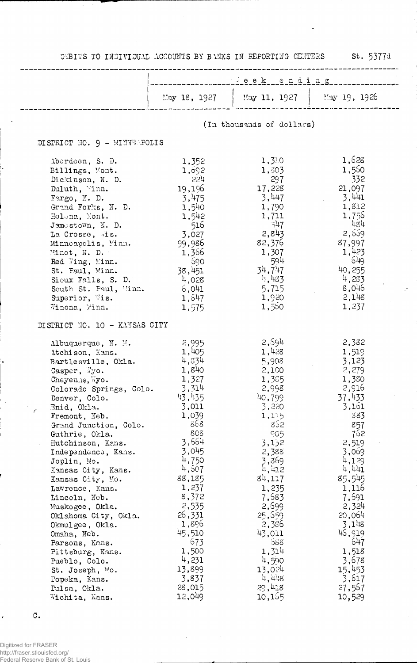|  | DEBITS TO INDIVIDUAL ACCOUNTS BY BANKS IN REPORTING CENTERS |  |  |  |
|--|-------------------------------------------------------------|--|--|--|
|  |                                                             |  |  |  |

st. 5377d

J.

b,

|                                                                                                                                                                                                                                                                                                                                                                                                                                                                                                                                                                                                                      | $\therefore$ eek ending                                                                                                                                                                                                                                            |                                                                                                                                                                                                                                                                      |                                                                                                                                                                                                                                                                        |  |  |  |
|----------------------------------------------------------------------------------------------------------------------------------------------------------------------------------------------------------------------------------------------------------------------------------------------------------------------------------------------------------------------------------------------------------------------------------------------------------------------------------------------------------------------------------------------------------------------------------------------------------------------|--------------------------------------------------------------------------------------------------------------------------------------------------------------------------------------------------------------------------------------------------------------------|----------------------------------------------------------------------------------------------------------------------------------------------------------------------------------------------------------------------------------------------------------------------|------------------------------------------------------------------------------------------------------------------------------------------------------------------------------------------------------------------------------------------------------------------------|--|--|--|
|                                                                                                                                                                                                                                                                                                                                                                                                                                                                                                                                                                                                                      | May 18, 1927                                                                                                                                                                                                                                                       | May 11, 1927   May 19, 1926                                                                                                                                                                                                                                          |                                                                                                                                                                                                                                                                        |  |  |  |
|                                                                                                                                                                                                                                                                                                                                                                                                                                                                                                                                                                                                                      |                                                                                                                                                                                                                                                                    | (In thousands of dollars)                                                                                                                                                                                                                                            |                                                                                                                                                                                                                                                                        |  |  |  |
| DISTRICT NO. 9 - MINNEMPOLIS                                                                                                                                                                                                                                                                                                                                                                                                                                                                                                                                                                                         |                                                                                                                                                                                                                                                                    |                                                                                                                                                                                                                                                                      |                                                                                                                                                                                                                                                                        |  |  |  |
| Aberdeen, S. D.<br>Billings, Mont.<br>Dickinson, N. D.<br>Duluth, Vinn.<br>Fargo, N. D.<br>Grand Forks, N. D.<br>Helena, Mont.<br>$J$ amestown, N. D.<br>La Crosse, wis.<br>Minnoapolis, Minn.<br>Minot, N. D.<br>Red Wing, Minn.<br>St. Paul, Minn.<br>Sioux Falls, S. D.<br>South St. Paul, Minn.<br>Superior, Wis.<br>Winona, Minn.                                                                                                                                                                                                                                                                               | 1,352<br>1,092<br>554<br>19,196<br>3,475<br>1,540<br>1,542<br>516<br>3,027<br>99,986<br>1,366<br>- 690<br>38,451<br>4,028<br>6,041<br>1,647<br>1,575                                                                                                               | 1,310<br>1,303<br>297<br>17,228<br>3,447<br>1,790<br>1,711<br>$-547$<br>2,843<br>82,376<br>1,307<br>594<br>34,717<br>4,483<br>5,715<br>1,920<br>1,560                                                                                                                | 1,628<br>1,560<br>332<br>21,097<br>3,441<br>1,812<br>1,756<br>434<br>2,659<br>87,997<br>1,423<br>- 649<br>40,255<br>4,233<br>8,046<br>2,148<br>1,237                                                                                                                   |  |  |  |
| DISTRICT NO. 10 - KANSAS CITY                                                                                                                                                                                                                                                                                                                                                                                                                                                                                                                                                                                        |                                                                                                                                                                                                                                                                    |                                                                                                                                                                                                                                                                      |                                                                                                                                                                                                                                                                        |  |  |  |
| $\Lambda$ lbuquerque, N. M.<br>Atchison, Kans.<br>Bartlesville, Okla.<br>$\texttt{Casper}, \ \forall y \texttt{o}.$<br>Cheyenne, Wyo.<br>Colorado Springs, Colo.<br>Denver, Colo.<br>Enid, Okla.<br>7<br>Fremont, Neb.<br>Grand Junction, Colo.<br>Guthrie, Okla.<br>Hutchinson, Kans.<br>Independence, Kans.<br>Joplin, Mo.<br>Kansas City, Kans.<br>Kansas City, Mo.<br>Lawrence, Kans.<br>Lincoln, Neb.<br>Muskogee, Okla.<br>Oklahoma City, Okla.<br>Okmulgee, Okla.<br>Omaha, Neb.<br>Parsons, Kans.<br>Pittsburg, Kans.<br>Pueblo, Colo.<br>St. Joseph, Mo.<br>Topeka, Kans.<br>Tulsa, Okla.<br>Wichita, Kans. | 2,995<br>1,405<br>4,834<br>1,840<br>1,327<br>3,314<br>43,435<br>3,011<br>1,039<br>868<br>808<br>3,664<br>3,045<br>4,750<br>4,507<br>88,185<br>1,237<br>8,372<br>2,535<br>26,331<br>1,896<br>45,510<br>673<br>1,500<br>4,231<br>13,899<br>3,837<br>28,015<br>12,049 | 2,594<br>1,428<br>5,908<br>2,100<br>1,385<br>2,998<br>40,799<br>3,220<br>1,115<br>852<br>905<br>3,132<br>2,388<br>3,369<br>4,412<br>84,117<br>1,235<br>7,583<br>2,699<br>25,559<br>2,386<br>43,011<br>්රිරි<br>1,314<br>4,590<br>13,024<br>4,4.8<br>29,418<br>10,155 | 2,332<br>1,519<br>3,123<br>2,279<br>1,380<br>2,916<br>37,433<br>3,161<br>383<br>857<br>762<br>2,519<br>3,069<br>4,129<br>4,441<br>85,545<br>1,116<br>7,691<br>2,324<br>20,064<br>$3,1^{11}8$<br>46,919<br>647<br>1,518<br>3,678<br>15,453<br>3,617<br>27,567<br>10,529 |  |  |  |

 $\circ.$ 

k

Digitized for FRASER<br>http://fraser.stlouisfed.org/<br>Federal Reserve Bank of St. Louis